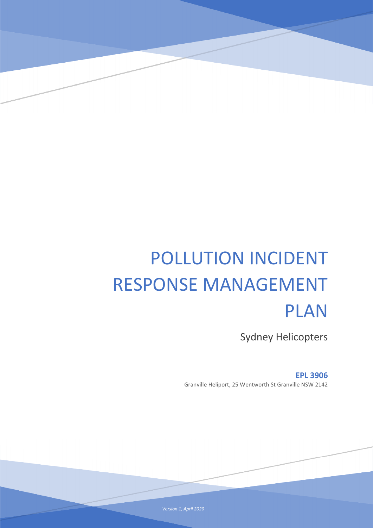# POLLUTION INCIDENT RESPONSE MANAGEMENT PLAN

Sydney Helicopters

**EPL 3906** Granville Heliport, 25 Wentworth St Granville NSW 2142

 *Version 1, April 2020*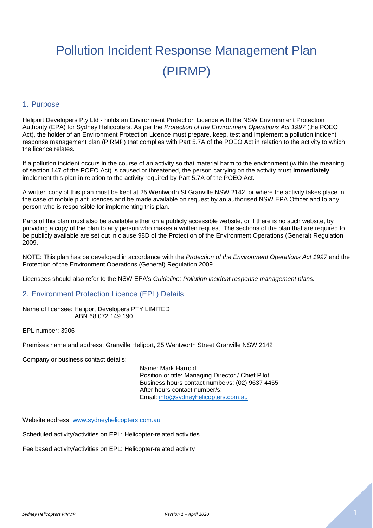# Pollution Incident Response Management Plan (PIRMP)

#### 1. Purpose

Heliport Developers Pty Ltd - holds an Environment Protection Licence with the NSW Environment Protection Authority (EPA) for Sydney Helicopters. As per the *Protection of the Environment Operations Act 1997* (the POEO Act), the holder of an Environment Protection Licence must prepare, keep, test and implement a pollution incident response management plan (PIRMP) that complies with Part 5.7A of the POEO Act in relation to the activity to which the licence relates.

If a pollution incident occurs in the course of an activity so that material harm to the environment (within the meaning of section 147 of the POEO Act) is caused or threatened, the person carrying on the activity must **immediately**  implement this plan in relation to the activity required by Part 5.7A of the POEO Act.

A written copy of this plan must be kept at 25 Wentworth St Granville NSW 2142, or where the activity takes place in the case of mobile plant licences and be made available on request by an authorised NSW EPA Officer and to any person who is responsible for implementing this plan.

Parts of this plan must also be available either on a publicly accessible website, or if there is no such website, by providing a copy of the plan to any person who makes a written request. The sections of the plan that are required to be publicly available are set out in clause 98D of the Protection of the Environment Operations (General) Regulation 2009.

NOTE: This plan has be developed in accordance with the *Protection of the Environment Operations Act 1997* and the Protection of the Environment Operations (General) Regulation 2009.

Licensees should also refer to the NSW EPA's *Guideline: Pollution incident response management plans.* 

#### 2. Environment Protection Licence (EPL) Details

Name of licensee: Heliport Developers PTY LIMITED ABN 68 072 149 190

EPL number: 3906

Premises name and address: Granville Heliport, 25 Wentworth Street Granville NSW 2142

Company or business contact details:

Name: Mark Harrold Position or title: Managing Director / Chief Pilot Business hours contact number/s: (02) 9637 4455 After hours contact number/s: Email: [info@sydneyhelicopters.com.au](mailto:info@sydneyhelicopters.com.au)

Website address: [www.sydneyhelicopters.com.au](http://www.sydneyhelicopters.com.au/)

Scheduled activity/activities on EPL: Helicopter-related activities

Fee based activity/activities on EPL: Helicopter-related activity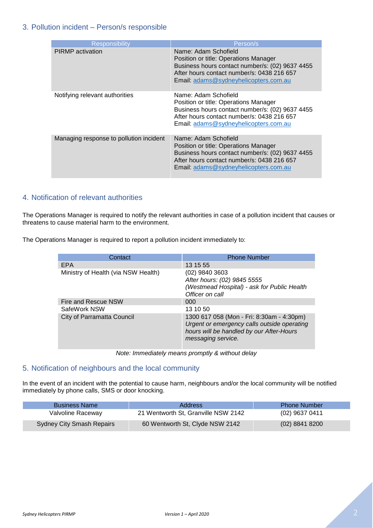#### 3. Pollution incident – Person/s responsible

| <b>Responsibility</b>                   | Person/s                                                                                                                                                                                                |
|-----------------------------------------|---------------------------------------------------------------------------------------------------------------------------------------------------------------------------------------------------------|
| <b>PIRMP</b> activation                 | Name: Adam Schofield<br>Position or title: Operations Manager<br>Business hours contact number/s: (02) 9637 4455<br>After hours contact number/s: 0438 216 657<br>Email: adams@sydneyhelicopters.com.au |
| Notifying relevant authorities          | Name: Adam Schofield<br>Position or title: Operations Manager<br>Business hours contact number/s: (02) 9637 4455<br>After hours contact number/s: 0438 216 657<br>Email: adams@sydneyhelicopters.com.au |
| Managing response to pollution incident | Name: Adam Schofield<br>Position or title: Operations Manager<br>Business hours contact number/s: (02) 9637 4455<br>After hours contact number/s: 0438 216 657<br>Email: adams@sydneyhelicopters.com.au |

# 4. Notification of relevant authorities

The Operations Manager is required to notify the relevant authorities in case of a pollution incident that causes or threatens to cause material harm to the environment.

The Operations Manager is required to report a pollution incident immediately to:

| Contact                             | <b>Phone Number</b>                                                                                                                                        |  |  |
|-------------------------------------|------------------------------------------------------------------------------------------------------------------------------------------------------------|--|--|
| EPA                                 | 13 15 55                                                                                                                                                   |  |  |
| Ministry of Health (via NSW Health) | (02) 9840 3603<br>After hours: (02) 9845 5555<br>(Westmead Hospital) - ask for Public Health<br>Officer on call                                            |  |  |
| Fire and Rescue NSW                 | 000                                                                                                                                                        |  |  |
| SafeWork NSW                        | 13 10 50                                                                                                                                                   |  |  |
| City of Parramatta Council          | 1300 617 058 (Mon - Fri: 8:30am - 4:30pm)<br>Urgent or emergency calls outside operating<br>hours will be handled by our After-Hours<br>messaging service. |  |  |

*Note: Immediately means promptly & without delay*

# 5. Notification of neighbours and the local community

In the event of an incident with the potential to cause harm, neighbours and/or the local community will be notified immediately by phone calls, SMS or door knocking.

| <b>Business Name</b>             | Address                             | <b>Phone Number</b> |
|----------------------------------|-------------------------------------|---------------------|
| Valvoline Raceway                | 21 Wentworth St, Granville NSW 2142 | $(02)$ 9637 0411    |
| <b>Sydney City Smash Repairs</b> | 60 Wentworth St, Clyde NSW 2142     | $(02)$ 8841 8200    |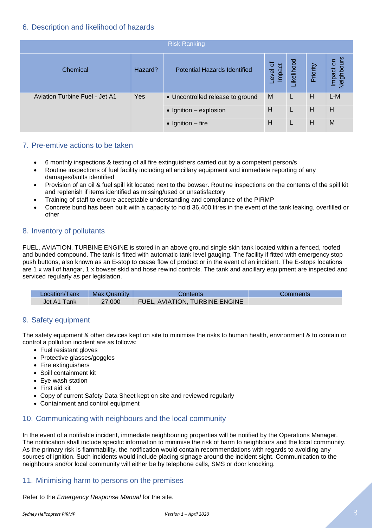#### 6. Description and likelihood of hazards

| <b>Risk Ranking</b>                   |         |                                     |                    |            |          |                         |
|---------------------------------------|---------|-------------------------------------|--------------------|------------|----------|-------------------------|
| Chemical                              | Hazard? | <b>Potential Hazards Identified</b> | Level of<br>Impact | Likelihood | Priority | Neighbours<br>Impact on |
| <b>Aviation Turbine Fuel - Jet A1</b> | Yes     | • Uncontrolled release to ground    | M                  |            | H        | L-M                     |
|                                       |         | $\bullet$ Ignition - explosion      | Н                  | L          | H        | H                       |
|                                       |         | $\bullet$ Ignition – fire           | н                  |            | Н        | M                       |

#### 7. Pre-emtive actions to be taken

- 6 monthly inspections & testing of all fire extinguishers carried out by a competent person/s
- Routine inspections of fuel facility including all ancillary equipment and immediate reporting of any damages/faults identified
- Provision of an oil & fuel spill kit located next to the bowser. Routine inspections on the contents of the spill kit and replenish if items identified as missing/used or unsatisfactory
- Training of staff to ensure acceptable understanding and compliance of the PIRMP
- Concrete bund has been built with a capacity to hold 36,400 litres in the event of the tank leaking, overfilled or other

# 8. Inventory of pollutants

FUEL, AVIATION, TURBINE ENGINE is stored in an above ground single skin tank located within a fenced, roofed and bunded compound. The tank is fitted with automatic tank level gauging. The facility if fitted with emergency stop push buttons, also known as an E-stop to cease flow of product or in the event of an incident. The E-stops locations are 1 x wall of hangar, 1 x bowser skid and hose rewind controls. The tank and ancillary equipment are inspected and serviced regularly as per legislation.

| Location/Tank | <b>Max Quantity</b> | Contents                              | Comments |
|---------------|---------------------|---------------------------------------|----------|
| Jet A1 Tank   | 27,000              | <b>FUEL, AVIATION, TURBINE ENGINE</b> |          |

#### 9. Safety equipment

The safety equipment & other devices kept on site to minimise the risks to human health, environment & to contain or control a pollution incident are as follows:

- Fuel resistant gloves
- Protective glasses/goggles
- Fire extinguishers
- Spill containment kit
- Eye wash station
- First aid kit
- Copy of current Safety Data Sheet kept on site and reviewed regularly
- Containment and control equipment

#### 10. Communicating with neighbours and the local community

In the event of a notifiable incident, immediate neighbouring properties will be notified by the Operations Manager. The notification shall include specific information to minimise the risk of harm to neighbours and the local community. As the primary risk is flammability, the notification would contain recommendations with regards to avoiding any sources of ignition. Such incidents would include placing signage around the incident sight. Communication to the neighbours and/or local community will either be by telephone calls, SMS or door knocking.

#### 11. Minimising harm to persons on the premises

Refer to the *Emergency Response Manual* for the site.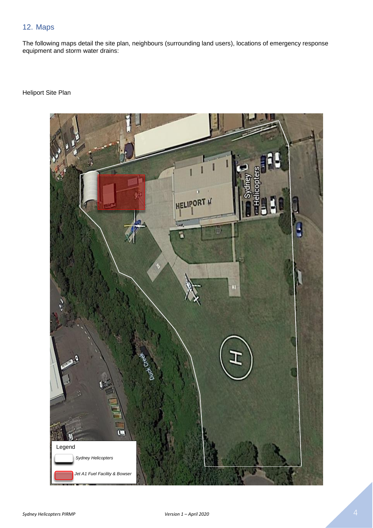# 12. Maps

The following maps detail the site plan, neighbours (surrounding land users), locations of emergency response equipment and storm water drains:

#### Heliport Site Plan

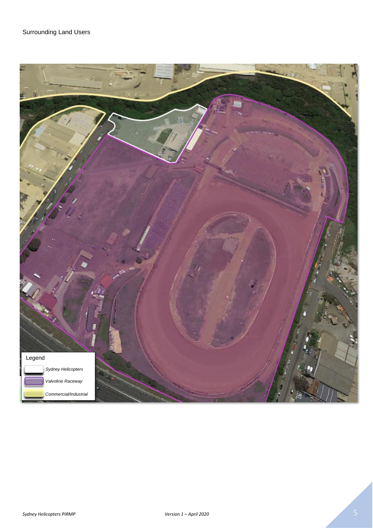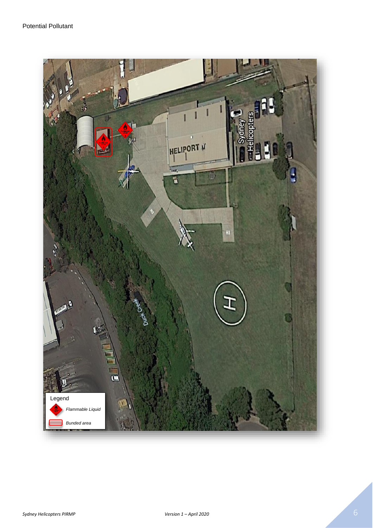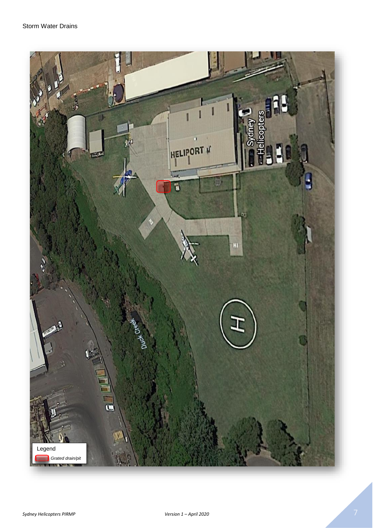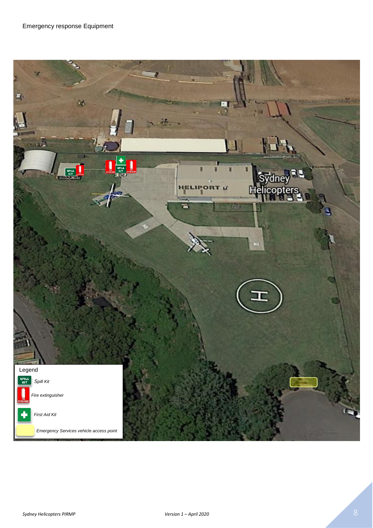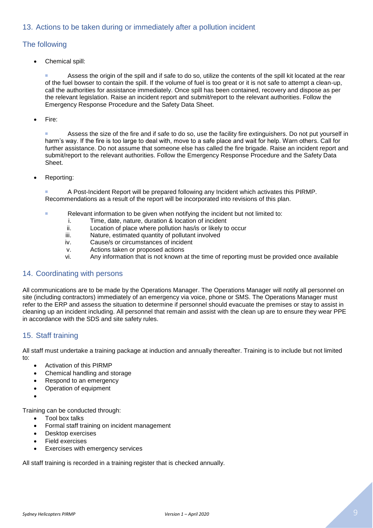### 13. Actions to be taken during or immediately after a pollution incident

#### The following

• Chemical spill:

 Assess the origin of the spill and if safe to do so, utilize the contents of the spill kit located at the rear of the fuel bowser to contain the spill. If the volume of fuel is too great or it is not safe to attempt a clean-up, call the authorities for assistance immediately. Once spill has been contained, recovery and dispose as per the relevant legislation. Raise an incident report and submit/report to the relevant authorities. Follow the Emergency Response Procedure and the Safety Data Sheet.

Fire:

**Assess the size of the fire and if safe to do so, use the facility fire extinguishers. Do not put yourself in** harm's way. If the fire is too large to deal with, move to a safe place and wait for help. Warn others. Call for further assistance. Do not assume that someone else has called the fire brigade. Raise an incident report and submit/report to the relevant authorities. Follow the Emergency Response Procedure and the Safety Data Sheet.

Reporting:

 A Post-Incident Report will be prepared following any Incident which activates this PIRMP. Recommendations as a result of the report will be incorporated into revisions of this plan.

- Relevant information to be given when notifying the incident but not limited to:
	- i. Time, date, nature, duration & location of incident
	- ii. Location of place where pollution has/is or likely to occur
	- iii. Nature, estimated quantity of pollutant involved
	- iv. Cause/s or circumstances of incident
	- v. Actions taken or proposed actions
	- vi. Any information that is not known at the time of reporting must be provided once available

#### 14. Coordinating with persons

All communications are to be made by the Operations Manager. The Operations Manager will notify all personnel on site (including contractors) immediately of an emergency via voice, phone or SMS. The Operations Manager must refer to the ERP and assess the situation to determine if personnel should evacuate the premises or stay to assist in cleaning up an incident including. All personnel that remain and assist with the clean up are to ensure they wear PPE in accordance with the SDS and site safety rules.

# 15. Staff training

All staff must undertake a training package at induction and annually thereafter. Training is to include but not limited to:

- Activation of this PIRMP
- Chemical handling and storage
- Respond to an emergency
- Operation of equipment
- •

Training can be conducted through:

- Tool box talks
- Formal staff training on incident management
- Desktop exercises
- Field exercises
- Exercises with emergency services

All staff training is recorded in a training register that is checked annually.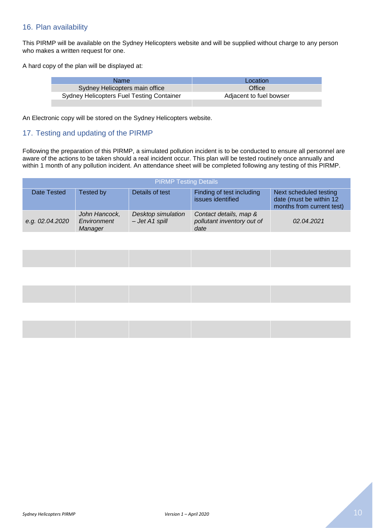#### 16. Plan availability

This PIRMP will be available on the Sydney Helicopters website and will be supplied without charge to any person who makes a written request for one.

A hard copy of the plan will be displayed at:

| Name.                                            | Location                |
|--------------------------------------------------|-------------------------|
| Sydney Helicopters main office                   | Office                  |
| <b>Sydney Helicopters Fuel Testing Container</b> | Adjacent to fuel bowser |
|                                                  |                         |

An Electronic copy will be stored on the Sydney Helicopters website.

#### 17. Testing and updating of the PIRMP

Following the preparation of this PIRMP, a simulated pollution incident is to be conducted to ensure all personnel are aware of the actions to be taken should a real incident occur. This plan will be tested routinely once annually and within 1 month of any pollution incident. An attendance sheet will be completed following any testing of this PIRMP.

| <b>PIRMP Testing Details</b> |                                         |                                        |                                                              |                                                                                |
|------------------------------|-----------------------------------------|----------------------------------------|--------------------------------------------------------------|--------------------------------------------------------------------------------|
| Date Tested                  | Tested by                               | Details of test                        | Finding of test including<br>issues identified               | Next scheduled testing<br>date (must be within 12<br>months from current test) |
| e.g. 02.04.2020              | John Hancock,<br>Environment<br>Manager | Desktop simulation<br>$-$ Jet A1 spill | Contact details, map &<br>pollutant inventory out of<br>date | 02.04.2021                                                                     |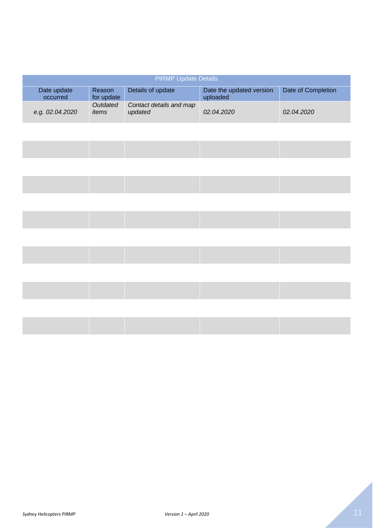| <b>PIRMP Update Details</b> |                      |                                    |                                      |                    |
|-----------------------------|----------------------|------------------------------------|--------------------------------------|--------------------|
| Date update<br>occurred     | Reason<br>for update | Details of update                  | Date the updated version<br>uploaded | Date of Completion |
| e.g. 02.04.2020             | Outdated<br>items    | Contact details and map<br>updated | 02.04.2020                           | 02.04.2020         |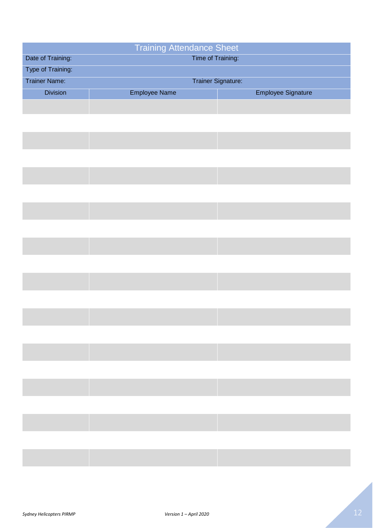| Date of Training:        |                                                                                                               | <b>Training Attendance Sheet</b> |  |  |
|--------------------------|---------------------------------------------------------------------------------------------------------------|----------------------------------|--|--|
|                          |                                                                                                               | Time of Training:                |  |  |
| Type of Training:        |                                                                                                               |                                  |  |  |
| <b>Trainer Name:</b>     |                                                                                                               | Trainer Signature:               |  |  |
| <b>Division</b>          | <b>Employee Name</b>                                                                                          | <b>Employee Signature</b>        |  |  |
|                          |                                                                                                               |                                  |  |  |
|                          |                                                                                                               |                                  |  |  |
|                          |                                                                                                               |                                  |  |  |
|                          |                                                                                                               |                                  |  |  |
|                          |                                                                                                               |                                  |  |  |
|                          |                                                                                                               |                                  |  |  |
|                          |                                                                                                               |                                  |  |  |
|                          |                                                                                                               |                                  |  |  |
|                          |                                                                                                               |                                  |  |  |
|                          |                                                                                                               |                                  |  |  |
|                          |                                                                                                               |                                  |  |  |
|                          |                                                                                                               |                                  |  |  |
|                          |                                                                                                               |                                  |  |  |
|                          |                                                                                                               |                                  |  |  |
|                          |                                                                                                               |                                  |  |  |
|                          |                                                                                                               |                                  |  |  |
|                          |                                                                                                               |                                  |  |  |
|                          |                                                                                                               |                                  |  |  |
|                          |                                                                                                               |                                  |  |  |
|                          |                                                                                                               |                                  |  |  |
|                          |                                                                                                               |                                  |  |  |
| <b>Contract Contract</b> | → South South South South South South South South South South South South South South South South South South |                                  |  |  |